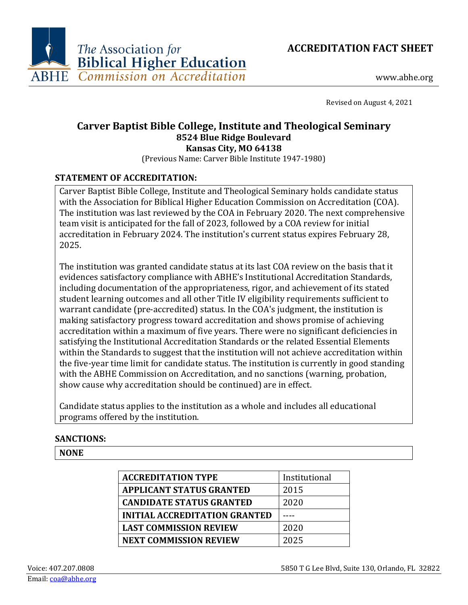



www.abhe.org

Revised on August 4, 2021

# **Carver Baptist Bible College, Institute and Theological Seminary 8524 Blue Ridge Boulevard Kansas City, MO 64138**

(Previous Name: Carver Bible Institute 1947-1980)

# **STATEMENT OF ACCREDITATION:**

Carver Baptist Bible College, Institute and Theological Seminary holds candidate status with the Association for Biblical Higher Education Commission on Accreditation (COA). The institution was last reviewed by the COA in February 2020. The next comprehensive team visit is anticipated for the fall of 2023, followed by a COA review for initial accreditation in February 2024. The institution's current status expires February 28, 2025.

The institution was granted candidate status at its last COA review on the basis that it evidences satisfactory compliance with ABHE's Institutional Accreditation Standards, including documentation of the appropriateness, rigor, and achievement of its stated student learning outcomes and all other Title IV eligibility requirements sufficient to warrant candidate (pre-accredited) status. In the COA's judgment, the institution is making satisfactory progress toward accreditation and shows promise of achieving accreditation within a maximum of five years. There were no significant deficiencies in satisfying the Institutional Accreditation Standards or the related Essential Elements within the Standards to suggest that the institution will not achieve accreditation within the five-year time limit for candidate status. The institution is currently in good standing with the ABHE Commission on Accreditation, and no sanctions (warning, probation, show cause why accreditation should be continued) are in effect.

Candidate status applies to the institution as a whole and includes all educational programs offered by the institution.

# **SANCTIONS:**

# **NONE**

| <b>ACCREDITATION TYPE</b>            | Institutional |
|--------------------------------------|---------------|
| <b>APPLICANT STATUS GRANTED</b>      | 2015          |
| <b>CANDIDATE STATUS GRANTED</b>      | 2020          |
| <b>INITIAL ACCREDITATION GRANTED</b> |               |
| <b>LAST COMMISSION REVIEW</b>        | 2020          |
| <b>NEXT COMMISSION REVIEW</b>        | 2025          |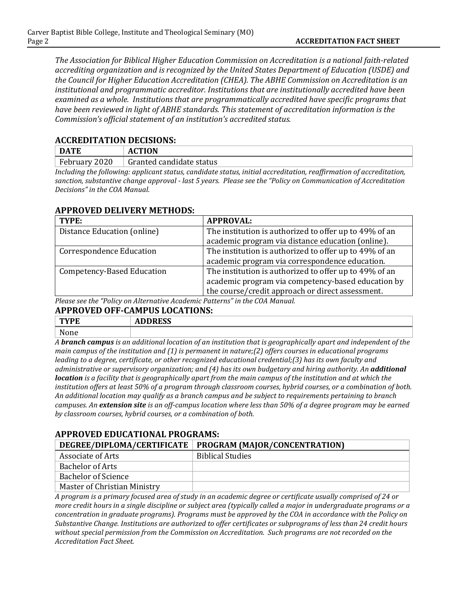*The Association for Biblical Higher Education Commission on Accreditation is a national faith-related accrediting organization and is recognized by the United States Department of Education (USDE) and the Council for Higher Education Accreditation (CHEA). The ABHE Commission on Accreditation is an institutional and programmatic accreditor. Institutions that are institutionally accredited have been examined as a whole. Institutions that are programmatically accredited have specific programs that have been reviewed in light of ABHE standards. This statement of accreditation information is the Commission's official statement of an institution's accredited status.*

#### **ACCREDITATION DECISIONS:**

| <b>DATE</b>                                        | <b>ACTION</b>            |
|----------------------------------------------------|--------------------------|
| $F_0$<br>2020<br>$\therefore$ ebruary $\therefore$ | Granted candidate status |

*Including the following: applicant status, candidate status, initial accreditation, reaffirmation of accreditation, sanction, substantive change approval - last 5 years. Please see the "Policy on Communication of Accreditation Decisions" in the COA Manual.*

# **APPROVED DELIVERY METHODS:**

| TYPE:                             | <b>APPROVAL:</b>                                       |
|-----------------------------------|--------------------------------------------------------|
| Distance Education (online)       | The institution is authorized to offer up to 49% of an |
|                                   | academic program via distance education (online).      |
| <b>Correspondence Education</b>   | The institution is authorized to offer up to 49% of an |
|                                   | academic program via correspondence education.         |
| <b>Competency-Based Education</b> | The institution is authorized to offer up to 49% of an |
|                                   | academic program via competency-based education by     |
|                                   | the course/credit approach or direct assessment.       |

*Please see the "Policy on Alternative Academic Patterns" in the COA Manual.*

#### **APPROVED OFF-CAMPUS LOCATIONS:**

| mx/m                          | <b>DDDDCC</b><br>טטעני<br>11.DD                                    |
|-------------------------------|--------------------------------------------------------------------|
| $\sim$ $\sim$<br><b>NOILE</b> |                                                                    |
| $\blacksquare$                | 1.1.1.1<br>$\mathbf{v}$<br>. .<br>.<br>.<br>. .<br>. .<br>. .<br>. |

*A branch campus is an additional location of an institution that is geographically apart and independent of the main campus of the institution and (1) is permanent in nature;(2) offers courses in educational programs leading to a degree, certificate, or other recognized educational credential;(3) has its own faculty and administrative or supervisory organization; and (4) has its own budgetary and hiring authority. An additional location is a facility that is geographically apart from the main campus of the institution and at which the institution offers at least 50% of a program through classroom courses, hybrid courses, or a combination of both. An additional location may qualify as a branch campus and be subject to requirements pertaining to branch campuses. An extension site is an off-campus location where less than 50% of a degree program may be earned by classroom courses, hybrid courses, or a combination of both.*

# **APPROVED EDUCATIONAL PROGRAMS:**

|                                                                                                                 | DEGREE/DIPLOMA/CERTIFICATE   PROGRAM (MAJOR/CONCENTRATION) |
|-----------------------------------------------------------------------------------------------------------------|------------------------------------------------------------|
| Associate of Arts                                                                                               | <b>Biblical Studies</b>                                    |
| <b>Bachelor of Arts</b>                                                                                         |                                                            |
| Bachelor of Science                                                                                             |                                                            |
| Master of Christian Ministry                                                                                    |                                                            |
| the contract of the contract of the contract of the contract of the contract of the contract of the contract of | . .<br>$   -$<br>$\sim$ $\sim$ $\sim$ $\sim$ $\sim$        |

*A program is a primary focused area of study in an academic degree or certificate usually comprised of 24 or more credit hours in a single discipline or subject area (typically called a major in undergraduate programs or a concentration in graduate programs). Programs must be approved by the COA in accordance with the Policy on Substantive Change. Institutions are authorized to offer certificates or subprograms of less than 24 credit hours without special permission from the Commission on Accreditation. Such programs are not recorded on the Accreditation Fact Sheet.*